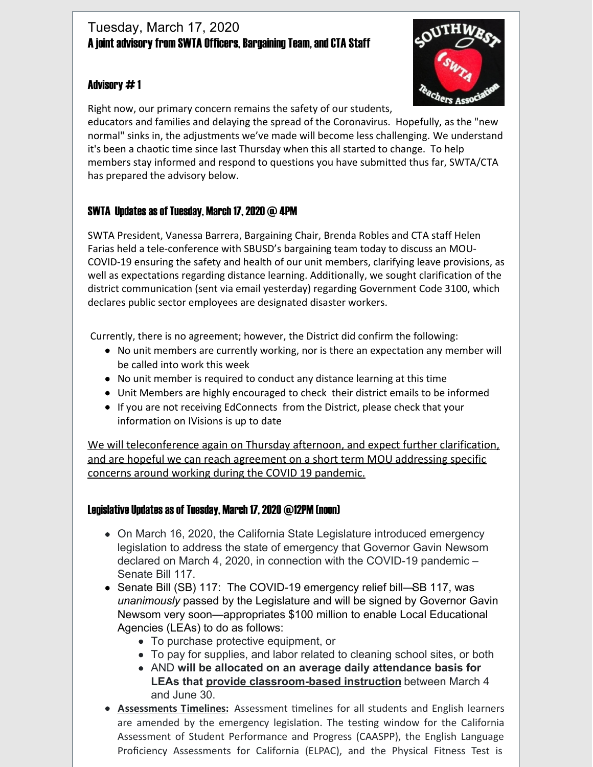## Tuesday, March 17, 2020 A joint advisory from SWTA Officers, Bargaining Team, and CTA Staff

#### Advisory # 1



Right now, our primary concern remains the safety of our students,

educators and families and delaying the spread of the Coronavirus. Hopefully, as the "new normal" sinks in, the adjustments we've made will become less challenging. We understand it's been a chaotic time since last Thursday when this all started to change. To help members stay informed and respond to questions you have submitted thus far, SWTA/CTA has prepared the advisory below.

## SWTA Updates as of Tuesday, March 17,2020 @ 4PM

SWTA President, Vanessa Barrera, Bargaining Chair, Brenda Robles and CTA staff Helen Farias held a tele-conference with SBUSD's bargaining team today to discuss an MOU-COVID-19 ensuring the safety and health of our unit members, clarifying leave provisions, as well as expectations regarding distance learning. Additionally, we sought clarification of the district communication (sent via email yesterday) regarding Government Code 3100, which declares public sector employees are designated disaster workers.

Currently, there is no agreement; however, the District did confirm the following:

- No unit members are currently working, nor is there an expectation any member will be called into work this week
- No unit member is required to conduct any distance learning at this time
- Unit Members are highly encouraged to check their district emails to be informed
- If you are not receiving EdConnects from the District, please check that your information on IVisions is up to date

We will teleconference again on Thursday afternoon, and expect further clarification, and are hopeful we can reach agreement on a short term MOU addressing specific concerns around working during the COVID 19 pandemic.

#### Legislative Updates as of Tuesday, March 17, 2020 @12PM (noon)

- On March 16, 2020, the California State Legislature introduced emergency legislation to address the state of emergency that Governor Gavin Newsom declared on March 4, 2020, in connection with the COVID-19 pandemic – Senate Bill 117.
- Senate Bill (SB) [117](https://leginfo.legislature.ca.gov/faces/billNavClient.xhtml?bill_id=201920200SB117): The COVID-19 emergency relief bill—SB 117, was *unanimously* passed by the Legislature and will be signed by Governor Gavin Newsom very soon—appropriates \$100 million to enable Local Educational Agencies (LEAs) to do as follows:
	- To purchase protective equipment, or
	- To pay for supplies, and labor related to cleaning school sites, or both
	- AND **will be allocated on an average daily attendance basis for LEAs that provide classroom-based instruction** between March 4 and June 30.
- **Assessments Timelines:** Assessment timelines for all students and English learners are amended by the emergency legislation. The testing window for the California Assessment of Student Performance and Progress (CAASPP), the English Language Proficiency Assessments for California (ELPAC), and the Physical Fitness Test is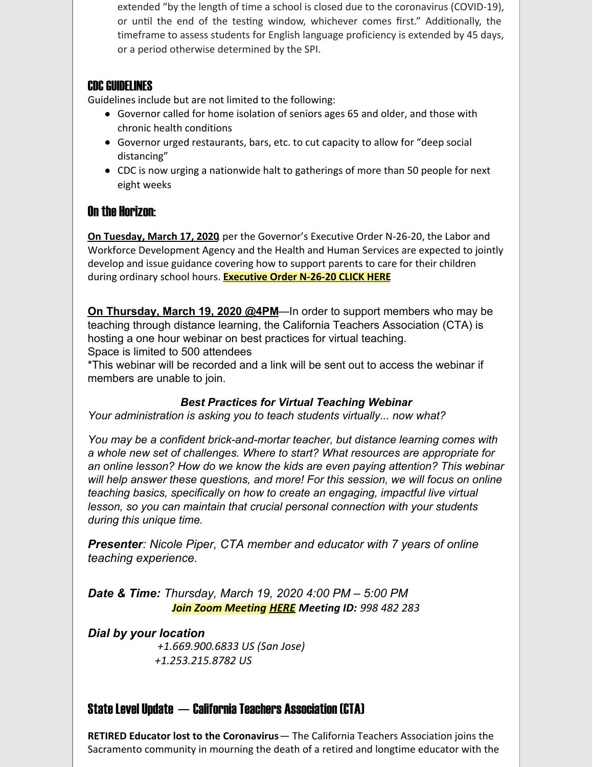extended "by the length of time a school is closed due to the coronavirus (COVID-19), or until the end of the testing window, whichever comes first." Additionally, the timeframe to assess students for English language proficiency is extended by 45 days, or a period otherwise determined by the SPI.

#### **CDC GUIDELINES**

Guidelines include but are not limited to the following:

- Governor called for home isolation of seniors ages 65 and older, and those with chronic health conditions
- Governor urged restaurants, bars, etc. to cut capacity to allow for "deep social distancing"
- CDC is now urging a nationwide halt to gatherings of more than 50 people for next eight weeks

## On the Horizon:

**On Tuesday, March 17, 2020**, per the Governor's Executive Order N-26-20, the Labor and Workforce Development Agency and the Health and Human Services are expected to jointly develop and issue guidance covering how to support parents to care for their children during ordinary school hours. **[Executive](https://www.gov.ca.gov/wp-content/uploads/2020/03/3.13.20-EO-N-26-20-Schools.pdf) Order N-26-20 CLICK HERE**

**On Thursday, March 19, 2020 @4PM**—In order to support members who may be teaching through distance learning, the California Teachers Association (CTA) is hosting a one hour webinar on best practices for virtual teaching. Space is limited to 500 attendees

\*This webinar will be recorded and a link will be sent out to access the webinar if members are unable to join.

#### *Best Practices for Virtual Teaching Webinar*

*Your administration is asking you to teach students virtually... now what?*

*You may be a confident brick-and-mortar teacher, but distance learning comes with a whole new set of challenges. Where to start? What resources are appropriate for an online lesson? How do we know the kids are even paying attention? This webinar will help answer these questions, and more! For this session, we will focus on online teaching basics, specifically on how to create an engaging, impactful live virtual lesson, so you can maintain that crucial personal connection with your students during this unique time.*

*Presenter: Nicole Piper, CTA member and educator with 7 years of online teaching experience.*

*Date & Time: Thursday, March 19, 2020 4:00 PM – 5:00 PM Join Zoom Meeting [HERE](https://zoom.us/j/998482283) Meeting ID: 998 482 283*

*Dial by your location +1.669.900.6833 US (San Jose) +1.253.215.8782 US*

## State Level Update  $-$  California Teachers Association (CTA)

**RETIRED Educator lost to the Coronavirus**— The California Teachers Association joins the Sacramento community in mourning the death of a retired and longtime educator with the